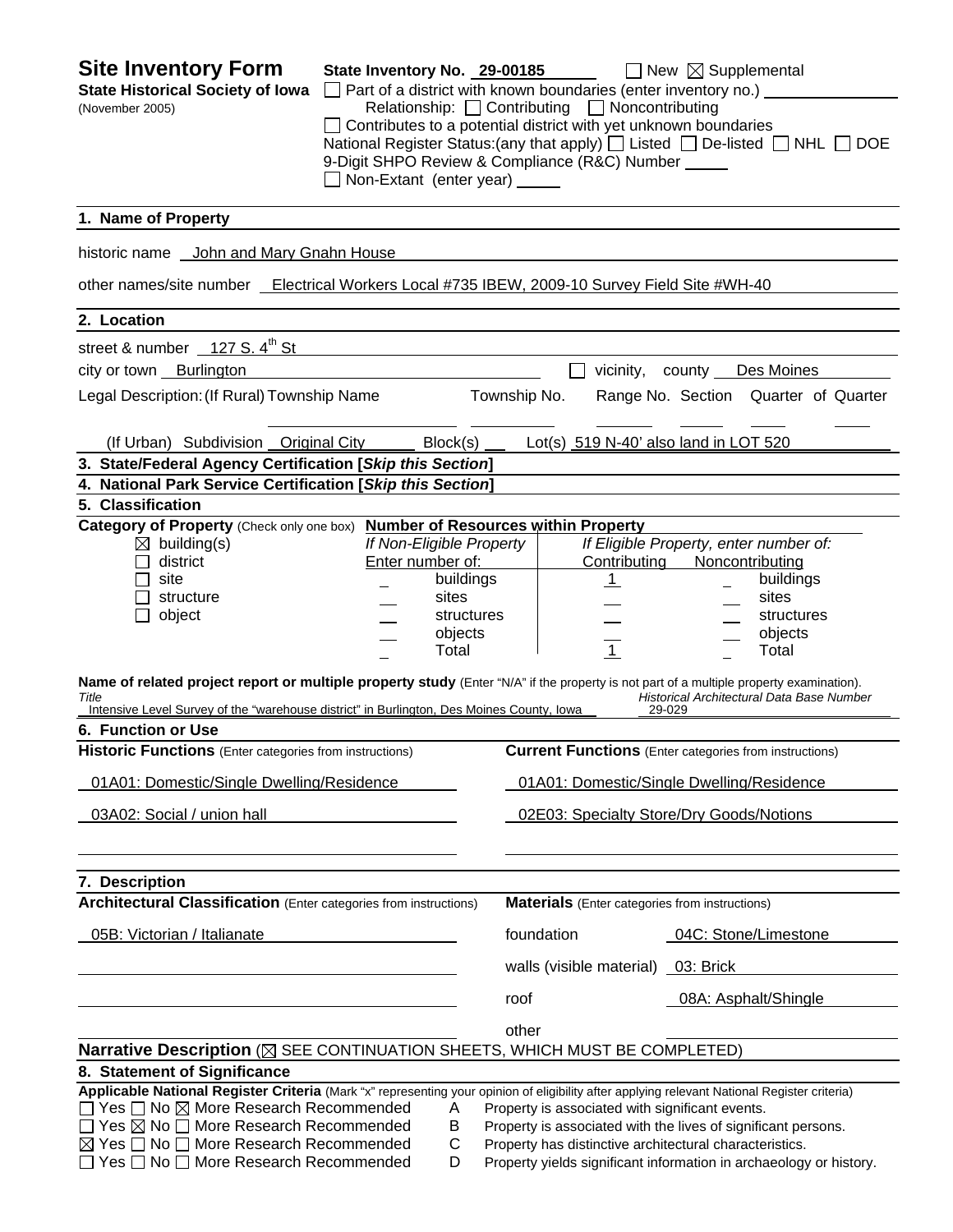| <b>Site Inventory Form</b><br><b>State Historical Society of Iowa</b><br>(November 2005)                                                                                                                                                                                                                                                                                                                                                                                                                                                                                       | State Inventory No. 29-00185<br>$\Box$ Part of a district with known boundaries (enter inventory no.) $\Box$<br>Relationship: $\Box$ Contributing $\Box$ Noncontributing<br>Contributes to a potential district with yet unknown boundaries<br>National Register Status: (any that apply) $\Box$ Listed $\Box$ De-listed $\Box$ NHL $\Box$ DOE<br>9-Digit SHPO Review & Compliance (R&C) Number _____<br>$\Box$ Non-Extant (enter year) $\Box$ |              |                                                                                                                                                                                                          | $\Box$ New $\boxtimes$ Supplemental                                 |                                                                                                   |
|--------------------------------------------------------------------------------------------------------------------------------------------------------------------------------------------------------------------------------------------------------------------------------------------------------------------------------------------------------------------------------------------------------------------------------------------------------------------------------------------------------------------------------------------------------------------------------|------------------------------------------------------------------------------------------------------------------------------------------------------------------------------------------------------------------------------------------------------------------------------------------------------------------------------------------------------------------------------------------------------------------------------------------------|--------------|----------------------------------------------------------------------------------------------------------------------------------------------------------------------------------------------------------|---------------------------------------------------------------------|---------------------------------------------------------------------------------------------------|
| 1. Name of Property                                                                                                                                                                                                                                                                                                                                                                                                                                                                                                                                                            |                                                                                                                                                                                                                                                                                                                                                                                                                                                |              |                                                                                                                                                                                                          |                                                                     |                                                                                                   |
| historic name John and Mary Gnahn House                                                                                                                                                                                                                                                                                                                                                                                                                                                                                                                                        |                                                                                                                                                                                                                                                                                                                                                                                                                                                |              |                                                                                                                                                                                                          |                                                                     |                                                                                                   |
| other names/site number _Electrical Workers Local #735 IBEW, 2009-10 Survey Field Site #WH-40                                                                                                                                                                                                                                                                                                                                                                                                                                                                                  |                                                                                                                                                                                                                                                                                                                                                                                                                                                |              |                                                                                                                                                                                                          |                                                                     |                                                                                                   |
| 2. Location                                                                                                                                                                                                                                                                                                                                                                                                                                                                                                                                                                    |                                                                                                                                                                                                                                                                                                                                                                                                                                                |              |                                                                                                                                                                                                          |                                                                     |                                                                                                   |
| street & number $\frac{127 \text{ S. }4^{\text{th}} \text{ St}}{1000 \text{ N}}$                                                                                                                                                                                                                                                                                                                                                                                                                                                                                               |                                                                                                                                                                                                                                                                                                                                                                                                                                                |              |                                                                                                                                                                                                          |                                                                     |                                                                                                   |
| city or town Burlington                                                                                                                                                                                                                                                                                                                                                                                                                                                                                                                                                        |                                                                                                                                                                                                                                                                                                                                                                                                                                                |              |                                                                                                                                                                                                          | vicinity, county Des Moines                                         |                                                                                                   |
| Legal Description: (If Rural) Township Name                                                                                                                                                                                                                                                                                                                                                                                                                                                                                                                                    |                                                                                                                                                                                                                                                                                                                                                                                                                                                | Township No. |                                                                                                                                                                                                          |                                                                     | Range No. Section Quarter of Quarter                                                              |
| (If Urban) Subdivision Original City                                                                                                                                                                                                                                                                                                                                                                                                                                                                                                                                           | Block(s)                                                                                                                                                                                                                                                                                                                                                                                                                                       |              | Lot(s) $519 N-40'$ also land in LOT $520$                                                                                                                                                                |                                                                     |                                                                                                   |
| 3. State/Federal Agency Certification [Skip this Section]                                                                                                                                                                                                                                                                                                                                                                                                                                                                                                                      |                                                                                                                                                                                                                                                                                                                                                                                                                                                |              |                                                                                                                                                                                                          |                                                                     |                                                                                                   |
| 4. National Park Service Certification [Skip this Section]                                                                                                                                                                                                                                                                                                                                                                                                                                                                                                                     |                                                                                                                                                                                                                                                                                                                                                                                                                                                |              |                                                                                                                                                                                                          |                                                                     |                                                                                                   |
| 5. Classification                                                                                                                                                                                                                                                                                                                                                                                                                                                                                                                                                              |                                                                                                                                                                                                                                                                                                                                                                                                                                                |              |                                                                                                                                                                                                          |                                                                     |                                                                                                   |
| Category of Property (Check only one box) Number of Resources within Property<br>$\boxtimes$ building(s)<br>district<br>site<br>structure<br>$\Box$ object<br>Name of related project report or multiple property study (Enter "N/A" if the property is not part of a multiple property examination).<br>Title<br>Intensive Level Survey of the "warehouse district" in Burlington, Des Moines County, Iowa<br>6. Function or Use<br><b>Historic Functions</b> (Enter categories from instructions)<br>01A01: Domestic/Single Dwelling/Residence<br>03A02: Social / union hall | If Non-Eligible Property<br>Enter number of:<br>buildings<br>sites<br>structures<br>objects<br>Total                                                                                                                                                                                                                                                                                                                                           |              | Contributing<br>$\mathbf{1}$<br>$\overline{1}$<br><b>Current Functions</b> (Enter categories from instructions)<br>01A01: Domestic/Single Dwelling/Residence<br>02E03: Specialty Store/Dry Goods/Notions | If Eligible Property, enter number of:<br>Noncontributing<br>29-029 | buildings<br>sites<br>structures<br>objects<br>Total<br>Historical Architectural Data Base Number |
| 7. Description<br><b>Architectural Classification</b> (Enter categories from instructions)<br>05B: Victorian / Italianate                                                                                                                                                                                                                                                                                                                                                                                                                                                      |                                                                                                                                                                                                                                                                                                                                                                                                                                                | foundation   | <b>Materials</b> (Enter categories from instructions)<br>walls (visible material) 03: Brick                                                                                                              | 04C: Stone/Limestone                                                |                                                                                                   |
|                                                                                                                                                                                                                                                                                                                                                                                                                                                                                                                                                                                |                                                                                                                                                                                                                                                                                                                                                                                                                                                | roof         |                                                                                                                                                                                                          | 08A: Asphalt/Shingle                                                |                                                                                                   |
|                                                                                                                                                                                                                                                                                                                                                                                                                                                                                                                                                                                |                                                                                                                                                                                                                                                                                                                                                                                                                                                | other        |                                                                                                                                                                                                          |                                                                     |                                                                                                   |
| Narrative Description (X SEE CONTINUATION SHEETS, WHICH MUST BE COMPLETED)                                                                                                                                                                                                                                                                                                                                                                                                                                                                                                     |                                                                                                                                                                                                                                                                                                                                                                                                                                                |              |                                                                                                                                                                                                          |                                                                     |                                                                                                   |
| 8. Statement of Significance                                                                                                                                                                                                                                                                                                                                                                                                                                                                                                                                                   |                                                                                                                                                                                                                                                                                                                                                                                                                                                |              |                                                                                                                                                                                                          |                                                                     |                                                                                                   |
| Applicable National Register Criteria (Mark "x" representing your opinion of eligibility after applying relevant National Register criteria)<br>□ Yes □ No ⊠ More Research Recommended<br>$\Box$ Yes $\boxtimes$ No $\Box$ More Research Recommended<br>⊠ Yes $\Box$ No $\Box$ More Research Recommended<br>Yes □ No □ More Research Recommended                                                                                                                                                                                                                               | Α<br>B<br>C<br>D                                                                                                                                                                                                                                                                                                                                                                                                                               |              | Property is associated with significant events.<br>Property is associated with the lives of significant persons.<br>Property has distinctive architectural characteristics.                              |                                                                     | Property yields significant information in archaeology or history.                                |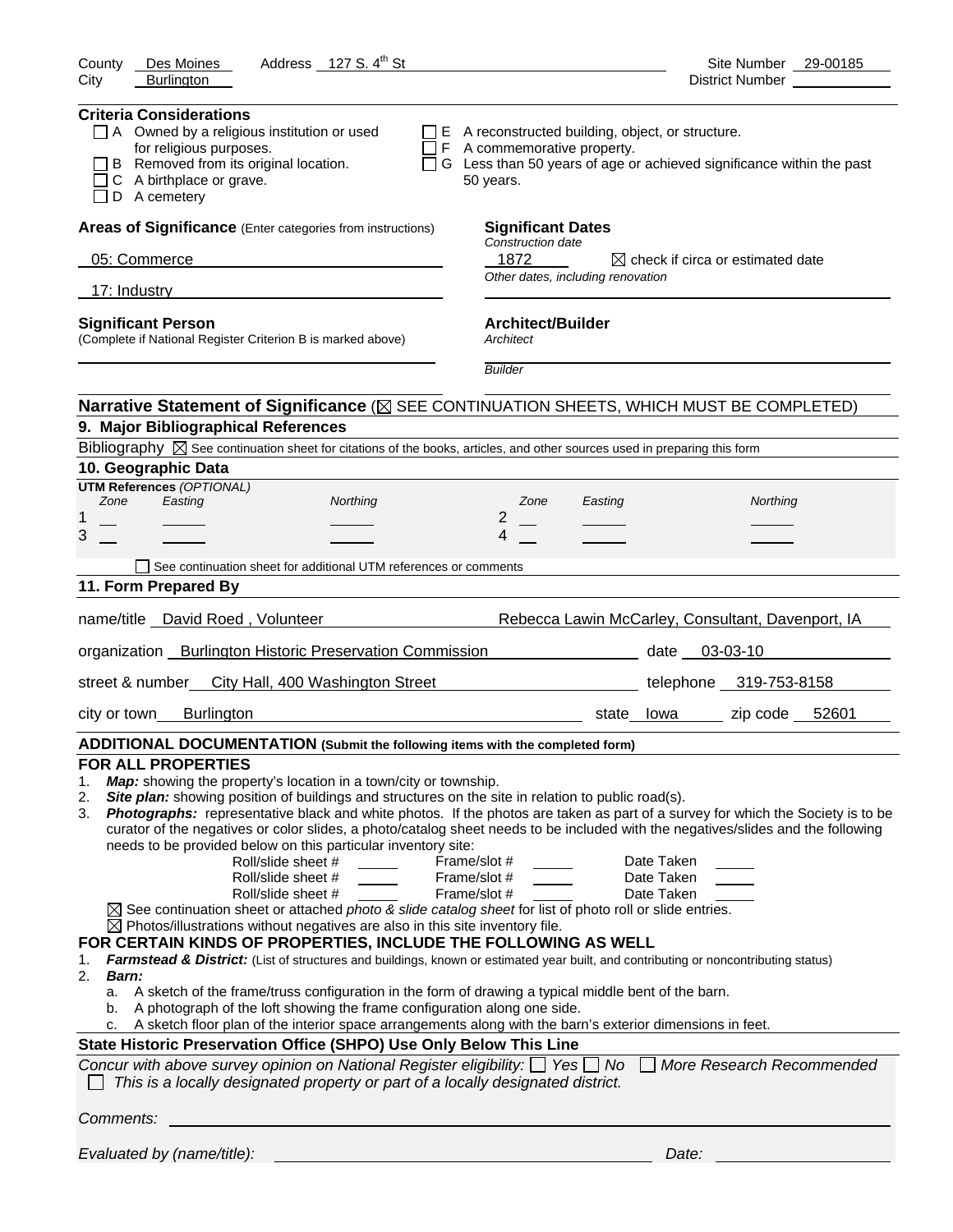| Address 127 S. 4 <sup>th</sup> St<br>County<br>Des Moines                                                                                                                                                                                                                                                                                                                                                                                                                                                                                                                                                                                                                                                                                                                                                                                                                                                                                                                                                                                                                                                                                                                                                                                                                                                                                                                                                                                                                                                                                                                                                                                                                                                                        | Site Number 29-00185                                                        |
|----------------------------------------------------------------------------------------------------------------------------------------------------------------------------------------------------------------------------------------------------------------------------------------------------------------------------------------------------------------------------------------------------------------------------------------------------------------------------------------------------------------------------------------------------------------------------------------------------------------------------------------------------------------------------------------------------------------------------------------------------------------------------------------------------------------------------------------------------------------------------------------------------------------------------------------------------------------------------------------------------------------------------------------------------------------------------------------------------------------------------------------------------------------------------------------------------------------------------------------------------------------------------------------------------------------------------------------------------------------------------------------------------------------------------------------------------------------------------------------------------------------------------------------------------------------------------------------------------------------------------------------------------------------------------------------------------------------------------------|-----------------------------------------------------------------------------|
| <b>Burlington</b><br>City                                                                                                                                                                                                                                                                                                                                                                                                                                                                                                                                                                                                                                                                                                                                                                                                                                                                                                                                                                                                                                                                                                                                                                                                                                                                                                                                                                                                                                                                                                                                                                                                                                                                                                        | District Number ___________                                                 |
| <b>Criteria Considerations</b><br>$\Box$ A Owned by a religious institution or used<br>$\Box$ E A reconstructed building, object, or structure.<br>for religious purposes.<br>$\Box$ F A commemorative property.<br>B Removed from its original location.<br>C A birthplace or grave.<br>50 years.<br>D A cemetery                                                                                                                                                                                                                                                                                                                                                                                                                                                                                                                                                                                                                                                                                                                                                                                                                                                                                                                                                                                                                                                                                                                                                                                                                                                                                                                                                                                                               | $\Box$ G Less than 50 years of age or achieved significance within the past |
| Areas of Significance (Enter categories from instructions)<br><b>Significant Dates</b>                                                                                                                                                                                                                                                                                                                                                                                                                                                                                                                                                                                                                                                                                                                                                                                                                                                                                                                                                                                                                                                                                                                                                                                                                                                                                                                                                                                                                                                                                                                                                                                                                                           |                                                                             |
| Construction date<br>1872<br>05: Commerce<br>the control of the control of the control of the control of the control of the control of                                                                                                                                                                                                                                                                                                                                                                                                                                                                                                                                                                                                                                                                                                                                                                                                                                                                                                                                                                                                                                                                                                                                                                                                                                                                                                                                                                                                                                                                                                                                                                                           | $\boxtimes$ check if circa or estimated date                                |
| Other dates, including renovation                                                                                                                                                                                                                                                                                                                                                                                                                                                                                                                                                                                                                                                                                                                                                                                                                                                                                                                                                                                                                                                                                                                                                                                                                                                                                                                                                                                                                                                                                                                                                                                                                                                                                                |                                                                             |
| 17: Industry                                                                                                                                                                                                                                                                                                                                                                                                                                                                                                                                                                                                                                                                                                                                                                                                                                                                                                                                                                                                                                                                                                                                                                                                                                                                                                                                                                                                                                                                                                                                                                                                                                                                                                                     |                                                                             |
| <b>Architect/Builder</b><br><b>Significant Person</b><br>(Complete if National Register Criterion B is marked above)<br>Architect                                                                                                                                                                                                                                                                                                                                                                                                                                                                                                                                                                                                                                                                                                                                                                                                                                                                                                                                                                                                                                                                                                                                                                                                                                                                                                                                                                                                                                                                                                                                                                                                |                                                                             |
| <b>Builder</b>                                                                                                                                                                                                                                                                                                                                                                                                                                                                                                                                                                                                                                                                                                                                                                                                                                                                                                                                                                                                                                                                                                                                                                                                                                                                                                                                                                                                                                                                                                                                                                                                                                                                                                                   |                                                                             |
| Narrative Statement of Significance ( $\boxtimes$ SEE CONTINUATION SHEETS, WHICH MUST BE COMPLETED)                                                                                                                                                                                                                                                                                                                                                                                                                                                                                                                                                                                                                                                                                                                                                                                                                                                                                                                                                                                                                                                                                                                                                                                                                                                                                                                                                                                                                                                                                                                                                                                                                              |                                                                             |
| 9. Major Bibliographical References                                                                                                                                                                                                                                                                                                                                                                                                                                                                                                                                                                                                                                                                                                                                                                                                                                                                                                                                                                                                                                                                                                                                                                                                                                                                                                                                                                                                                                                                                                                                                                                                                                                                                              |                                                                             |
| Bibliography $\boxtimes$ See continuation sheet for citations of the books, articles, and other sources used in preparing this form                                                                                                                                                                                                                                                                                                                                                                                                                                                                                                                                                                                                                                                                                                                                                                                                                                                                                                                                                                                                                                                                                                                                                                                                                                                                                                                                                                                                                                                                                                                                                                                              |                                                                             |
| 10. Geographic Data<br><b>UTM References (OPTIONAL)</b>                                                                                                                                                                                                                                                                                                                                                                                                                                                                                                                                                                                                                                                                                                                                                                                                                                                                                                                                                                                                                                                                                                                                                                                                                                                                                                                                                                                                                                                                                                                                                                                                                                                                          |                                                                             |
| Zone<br>Easting<br>Northing<br>Zone                                                                                                                                                                                                                                                                                                                                                                                                                                                                                                                                                                                                                                                                                                                                                                                                                                                                                                                                                                                                                                                                                                                                                                                                                                                                                                                                                                                                                                                                                                                                                                                                                                                                                              | Northing<br>Easting                                                         |
| 2<br>1<br>3<br>4                                                                                                                                                                                                                                                                                                                                                                                                                                                                                                                                                                                                                                                                                                                                                                                                                                                                                                                                                                                                                                                                                                                                                                                                                                                                                                                                                                                                                                                                                                                                                                                                                                                                                                                 |                                                                             |
|                                                                                                                                                                                                                                                                                                                                                                                                                                                                                                                                                                                                                                                                                                                                                                                                                                                                                                                                                                                                                                                                                                                                                                                                                                                                                                                                                                                                                                                                                                                                                                                                                                                                                                                                  |                                                                             |
| See continuation sheet for additional UTM references or comments<br>11. Form Prepared By                                                                                                                                                                                                                                                                                                                                                                                                                                                                                                                                                                                                                                                                                                                                                                                                                                                                                                                                                                                                                                                                                                                                                                                                                                                                                                                                                                                                                                                                                                                                                                                                                                         |                                                                             |
|                                                                                                                                                                                                                                                                                                                                                                                                                                                                                                                                                                                                                                                                                                                                                                                                                                                                                                                                                                                                                                                                                                                                                                                                                                                                                                                                                                                                                                                                                                                                                                                                                                                                                                                                  |                                                                             |
| name/title David Roed, Volunteer                                                                                                                                                                                                                                                                                                                                                                                                                                                                                                                                                                                                                                                                                                                                                                                                                                                                                                                                                                                                                                                                                                                                                                                                                                                                                                                                                                                                                                                                                                                                                                                                                                                                                                 | Rebecca Lawin McCarley, Consultant, Davenport, IA                           |
| organization Burlington Historic Preservation Commission                                                                                                                                                                                                                                                                                                                                                                                                                                                                                                                                                                                                                                                                                                                                                                                                                                                                                                                                                                                                                                                                                                                                                                                                                                                                                                                                                                                                                                                                                                                                                                                                                                                                         | date 03-03-10                                                               |
| street & number<br>City Hall, 400 Washington Street                                                                                                                                                                                                                                                                                                                                                                                                                                                                                                                                                                                                                                                                                                                                                                                                                                                                                                                                                                                                                                                                                                                                                                                                                                                                                                                                                                                                                                                                                                                                                                                                                                                                              | telephone 319-753-8158                                                      |
| <b>Burlington</b><br>city or town                                                                                                                                                                                                                                                                                                                                                                                                                                                                                                                                                                                                                                                                                                                                                                                                                                                                                                                                                                                                                                                                                                                                                                                                                                                                                                                                                                                                                                                                                                                                                                                                                                                                                                | zip code 52601<br>state lowa                                                |
| ADDITIONAL DOCUMENTATION (Submit the following items with the completed form)                                                                                                                                                                                                                                                                                                                                                                                                                                                                                                                                                                                                                                                                                                                                                                                                                                                                                                                                                                                                                                                                                                                                                                                                                                                                                                                                                                                                                                                                                                                                                                                                                                                    |                                                                             |
| <b>FOR ALL PROPERTIES</b><br>Map: showing the property's location in a town/city or township.<br>1.<br>Site plan: showing position of buildings and structures on the site in relation to public road(s).<br>2.<br>Photographs: representative black and white photos. If the photos are taken as part of a survey for which the Society is to be<br>3.<br>curator of the negatives or color slides, a photo/catalog sheet needs to be included with the negatives/slides and the following<br>needs to be provided below on this particular inventory site:<br>Roll/slide sheet #<br>Frame/slot #<br>Roll/slide sheet #<br>Frame/slot #<br>Roll/slide sheet #<br>Frame/slot #<br>$\boxtimes$ See continuation sheet or attached photo & slide catalog sheet for list of photo roll or slide entries.<br>$\boxtimes$ Photos/illustrations without negatives are also in this site inventory file.<br>FOR CERTAIN KINDS OF PROPERTIES, INCLUDE THE FOLLOWING AS WELL<br>Farmstead & District: (List of structures and buildings, known or estimated year built, and contributing or noncontributing status)<br>1.<br>2.<br>Barn:<br>A sketch of the frame/truss configuration in the form of drawing a typical middle bent of the barn.<br>а.<br>A photograph of the loft showing the frame configuration along one side.<br>b.<br>A sketch floor plan of the interior space arrangements along with the barn's exterior dimensions in feet.<br>State Historic Preservation Office (SHPO) Use Only Below This Line<br>Concur with above survey opinion on National Register eligibility: $\Box$ Yes $\Box$ No $\Box$ More Research Recommended<br>This is a locally designated property or part of a locally designated district. | Date Taken<br>Date Taken<br>Date Taken                                      |
| Comments:                                                                                                                                                                                                                                                                                                                                                                                                                                                                                                                                                                                                                                                                                                                                                                                                                                                                                                                                                                                                                                                                                                                                                                                                                                                                                                                                                                                                                                                                                                                                                                                                                                                                                                                        |                                                                             |
| Evaluated by (name/title):                                                                                                                                                                                                                                                                                                                                                                                                                                                                                                                                                                                                                                                                                                                                                                                                                                                                                                                                                                                                                                                                                                                                                                                                                                                                                                                                                                                                                                                                                                                                                                                                                                                                                                       | Date:                                                                       |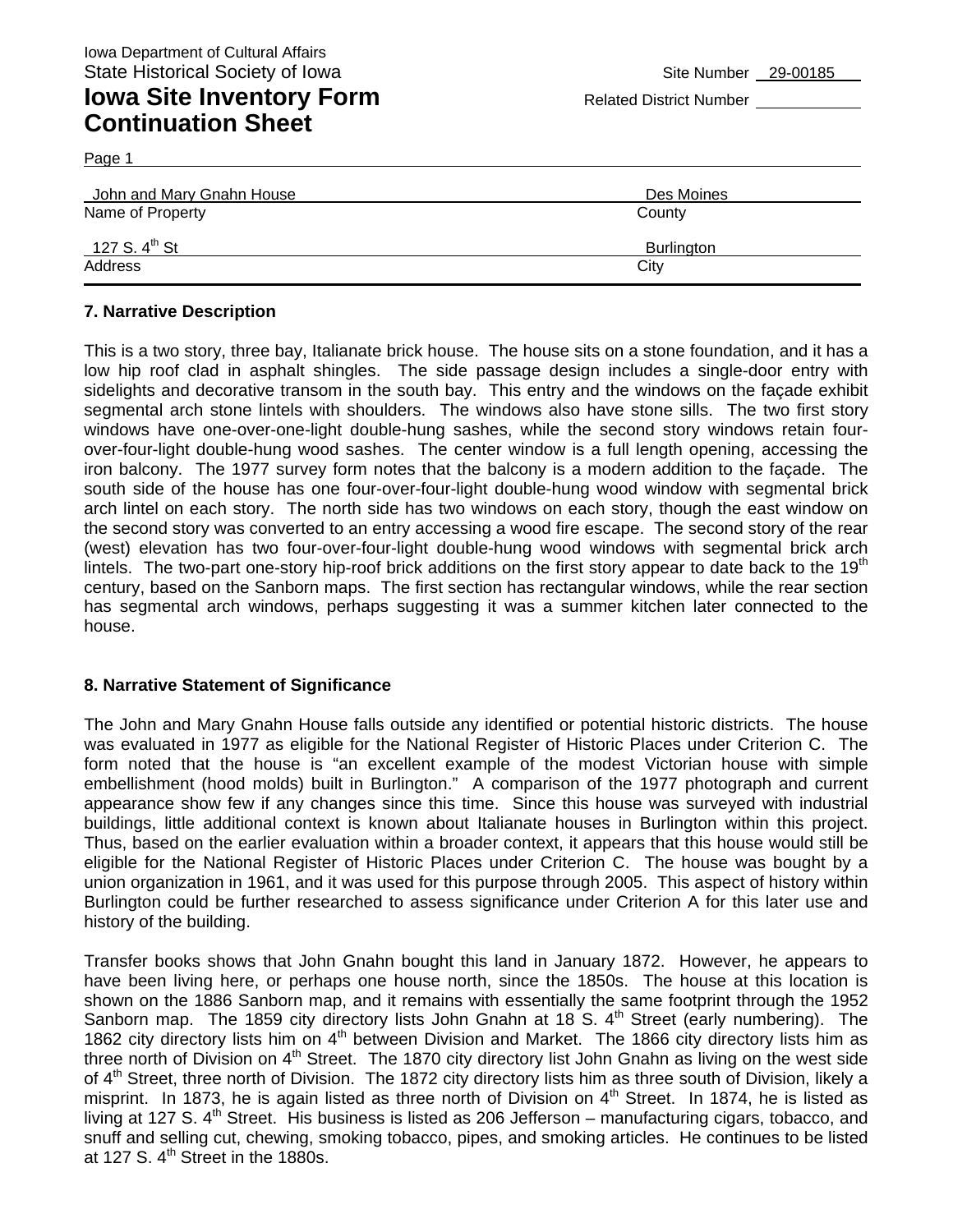Page 1

| John and Mary Gnahn House | Des Moines        |
|---------------------------|-------------------|
| Name of Property          | County            |
| 127 S. 4 <sup>th</sup> St | <b>Burlington</b> |
| Address                   | City              |

### **7. Narrative Description**

This is a two story, three bay, Italianate brick house. The house sits on a stone foundation, and it has a low hip roof clad in asphalt shingles. The side passage design includes a single-door entry with sidelights and decorative transom in the south bay. This entry and the windows on the façade exhibit segmental arch stone lintels with shoulders. The windows also have stone sills. The two first story windows have one-over-one-light double-hung sashes, while the second story windows retain fourover-four-light double-hung wood sashes. The center window is a full length opening, accessing the iron balcony. The 1977 survey form notes that the balcony is a modern addition to the façade. The south side of the house has one four-over-four-light double-hung wood window with segmental brick arch lintel on each story. The north side has two windows on each story, though the east window on the second story was converted to an entry accessing a wood fire escape. The second story of the rear (west) elevation has two four-over-four-light double-hung wood windows with segmental brick arch lintels. The two-part one-story hip-roof brick additions on the first story appear to date back to the 19<sup>th</sup> century, based on the Sanborn maps. The first section has rectangular windows, while the rear section has segmental arch windows, perhaps suggesting it was a summer kitchen later connected to the house.

#### **8. Narrative Statement of Significance**

The John and Mary Gnahn House falls outside any identified or potential historic districts. The house was evaluated in 1977 as eligible for the National Register of Historic Places under Criterion C. The form noted that the house is "an excellent example of the modest Victorian house with simple embellishment (hood molds) built in Burlington." A comparison of the 1977 photograph and current appearance show few if any changes since this time. Since this house was surveyed with industrial buildings, little additional context is known about Italianate houses in Burlington within this project. Thus, based on the earlier evaluation within a broader context, it appears that this house would still be eligible for the National Register of Historic Places under Criterion C. The house was bought by a union organization in 1961, and it was used for this purpose through 2005. This aspect of history within Burlington could be further researched to assess significance under Criterion A for this later use and history of the building.

Transfer books shows that John Gnahn bought this land in January 1872. However, he appears to have been living here, or perhaps one house north, since the 1850s. The house at this location is shown on the 1886 Sanborn map, and it remains with essentially the same footprint through the 1952 Sanborn map. The 1859 city directory lists John Gnahn at 18 S.  $4<sup>th</sup>$  Street (early numbering). The 1862 city directory lists him on 4<sup>th</sup> between Division and Market. The 1866 city directory lists him as three north of Division on 4<sup>th</sup> Street. The 1870 city directory list John Gnahn as living on the west side of 4<sup>th</sup> Street, three north of Division. The 1872 city directory lists him as three south of Division, likely a misprint. In 1873, he is again listed as three north of Division on  $4<sup>th</sup>$  Street. In 1874, he is listed as living at 127 S. 4<sup>th</sup> Street. His business is listed as 206 Jefferson – manufacturing cigars, tobacco, and snuff and selling cut, chewing, smoking tobacco, pipes, and smoking articles. He continues to be listed at 127 S.  $4<sup>th</sup>$  Street in the 1880s.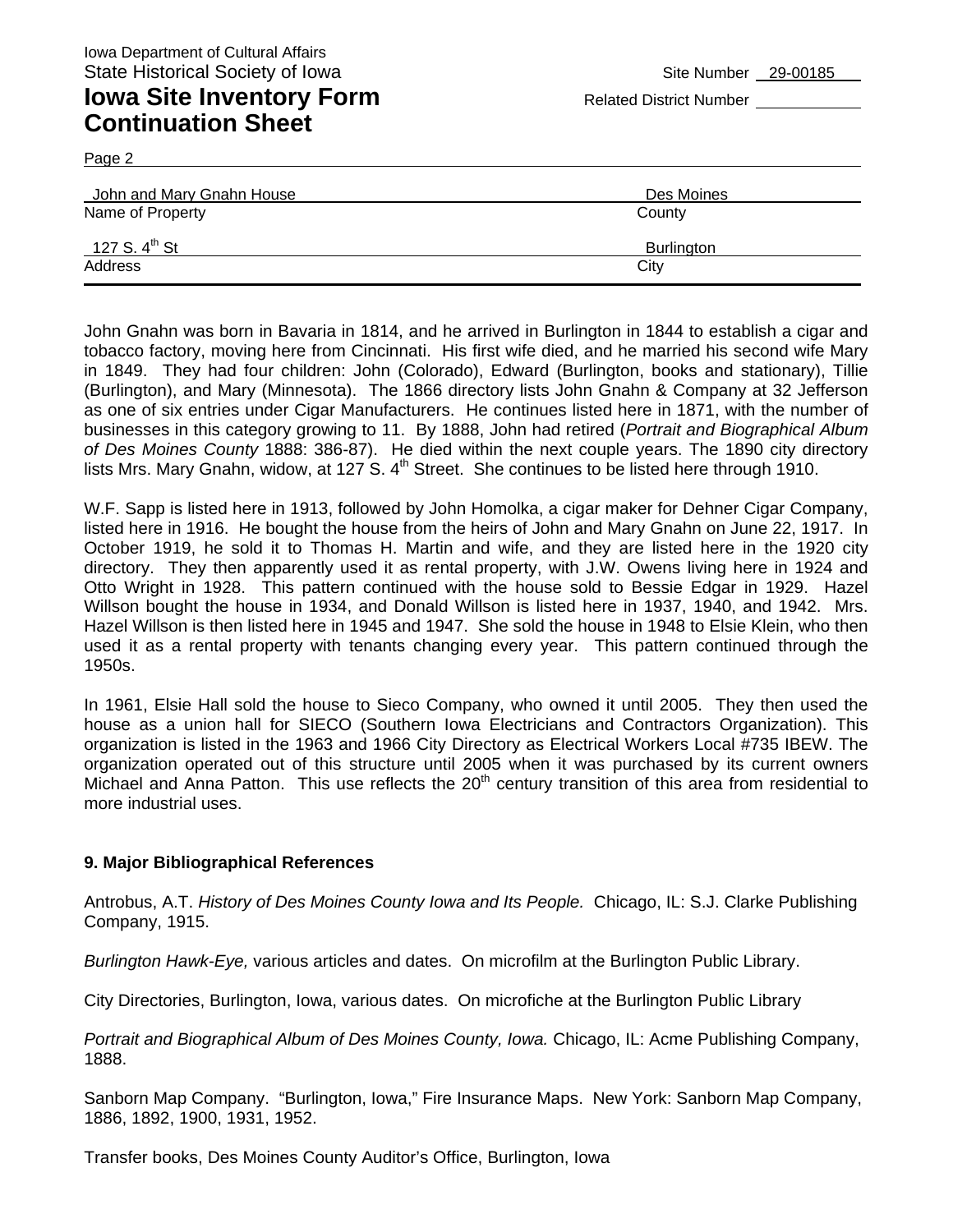## **Iowa Site Inventory Form** Related District Number **Related District Number Continuation Sheet**

Page 2

| John and Mary Gnahn House | Des Moines |
|---------------------------|------------|
| Name of Property          | County     |
| 127 S. 4 <sup>th</sup> St | Burlington |
| Address                   | City       |

John Gnahn was born in Bavaria in 1814, and he arrived in Burlington in 1844 to establish a cigar and tobacco factory, moving here from Cincinnati. His first wife died, and he married his second wife Mary in 1849. They had four children: John (Colorado), Edward (Burlington, books and stationary), Tillie (Burlington), and Mary (Minnesota). The 1866 directory lists John Gnahn & Company at 32 Jefferson as one of six entries under Cigar Manufacturers. He continues listed here in 1871, with the number of businesses in this category growing to 11. By 1888, John had retired (*Portrait and Biographical Album of Des Moines County* 1888: 386-87). He died within the next couple years. The 1890 city directory lists Mrs. Mary Gnahn, widow, at 127 S.  $4<sup>th</sup>$  Street. She continues to be listed here through 1910.

W.F. Sapp is listed here in 1913, followed by John Homolka, a cigar maker for Dehner Cigar Company, listed here in 1916. He bought the house from the heirs of John and Mary Gnahn on June 22, 1917. In October 1919, he sold it to Thomas H. Martin and wife, and they are listed here in the 1920 city directory. They then apparently used it as rental property, with J.W. Owens living here in 1924 and Otto Wright in 1928. This pattern continued with the house sold to Bessie Edgar in 1929. Hazel Willson bought the house in 1934, and Donald Willson is listed here in 1937, 1940, and 1942. Mrs. Hazel Willson is then listed here in 1945 and 1947. She sold the house in 1948 to Elsie Klein, who then used it as a rental property with tenants changing every year. This pattern continued through the 1950s.

In 1961, Elsie Hall sold the house to Sieco Company, who owned it until 2005. They then used the house as a union hall for SIECO (Southern Iowa Electricians and Contractors Organization). This organization is listed in the 1963 and 1966 City Directory as Electrical Workers Local #735 IBEW. The organization operated out of this structure until 2005 when it was purchased by its current owners Michael and Anna Patton. This use reflects the 20<sup>th</sup> century transition of this area from residential to more industrial uses.

#### **9. Major Bibliographical References**

Antrobus, A.T. *History of Des Moines County Iowa and Its People.* Chicago, IL: S.J. Clarke Publishing Company, 1915.

*Burlington Hawk-Eye,* various articles and dates. On microfilm at the Burlington Public Library.

City Directories, Burlington, Iowa, various dates. On microfiche at the Burlington Public Library

*Portrait and Biographical Album of Des Moines County, Iowa.* Chicago, IL: Acme Publishing Company, 1888.

Sanborn Map Company. "Burlington, Iowa," Fire Insurance Maps. New York: Sanborn Map Company, 1886, 1892, 1900, 1931, 1952.

Transfer books, Des Moines County Auditor's Office, Burlington, Iowa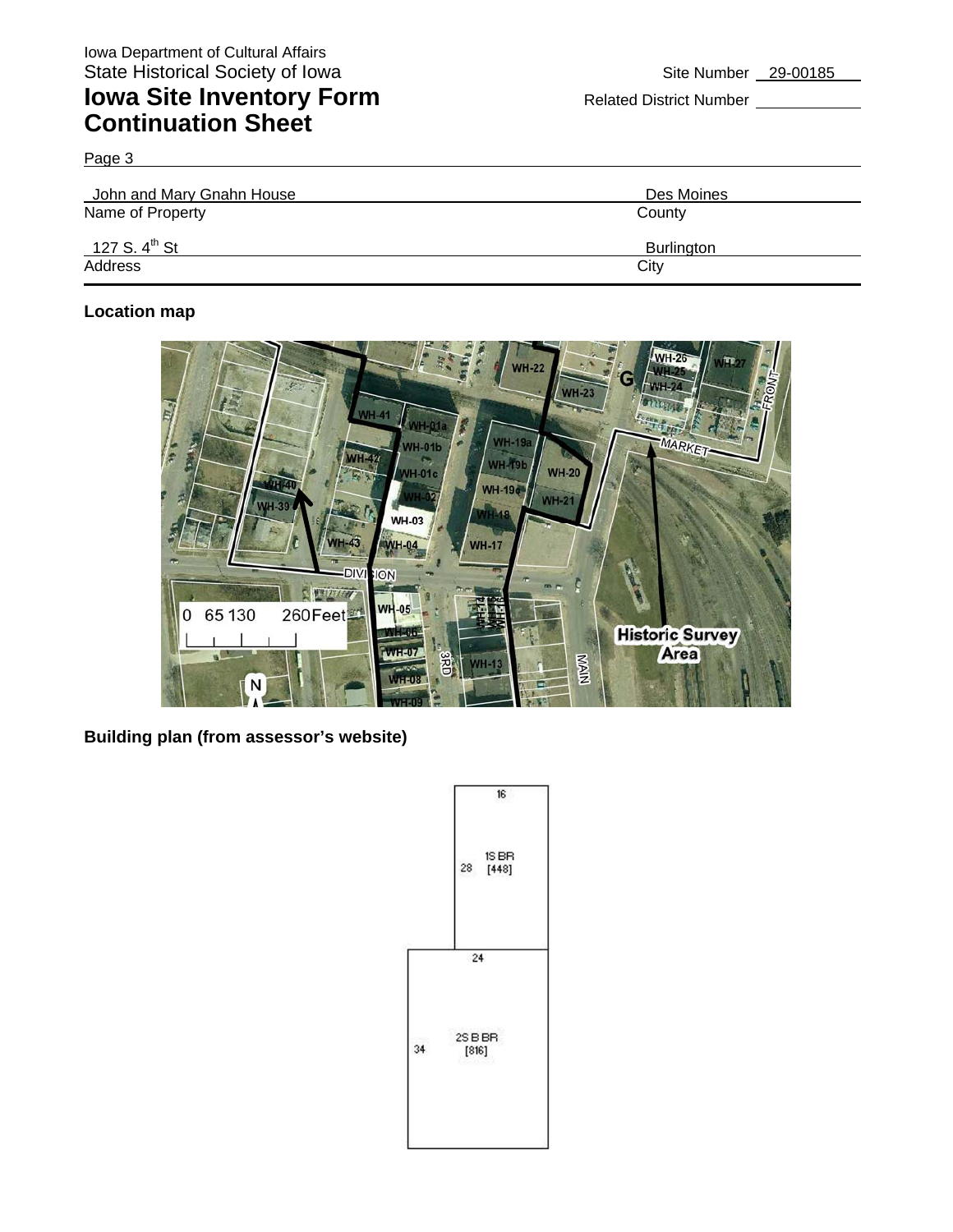Page 3

| John and Mary Gnahn House | Des Moines |
|---------------------------|------------|
| Name of Property          | County     |
| 127 S. 4 <sup>th</sup> St | Burlington |
| Address                   | City       |

### **Location map**



**Building plan (from assessor's website)** 

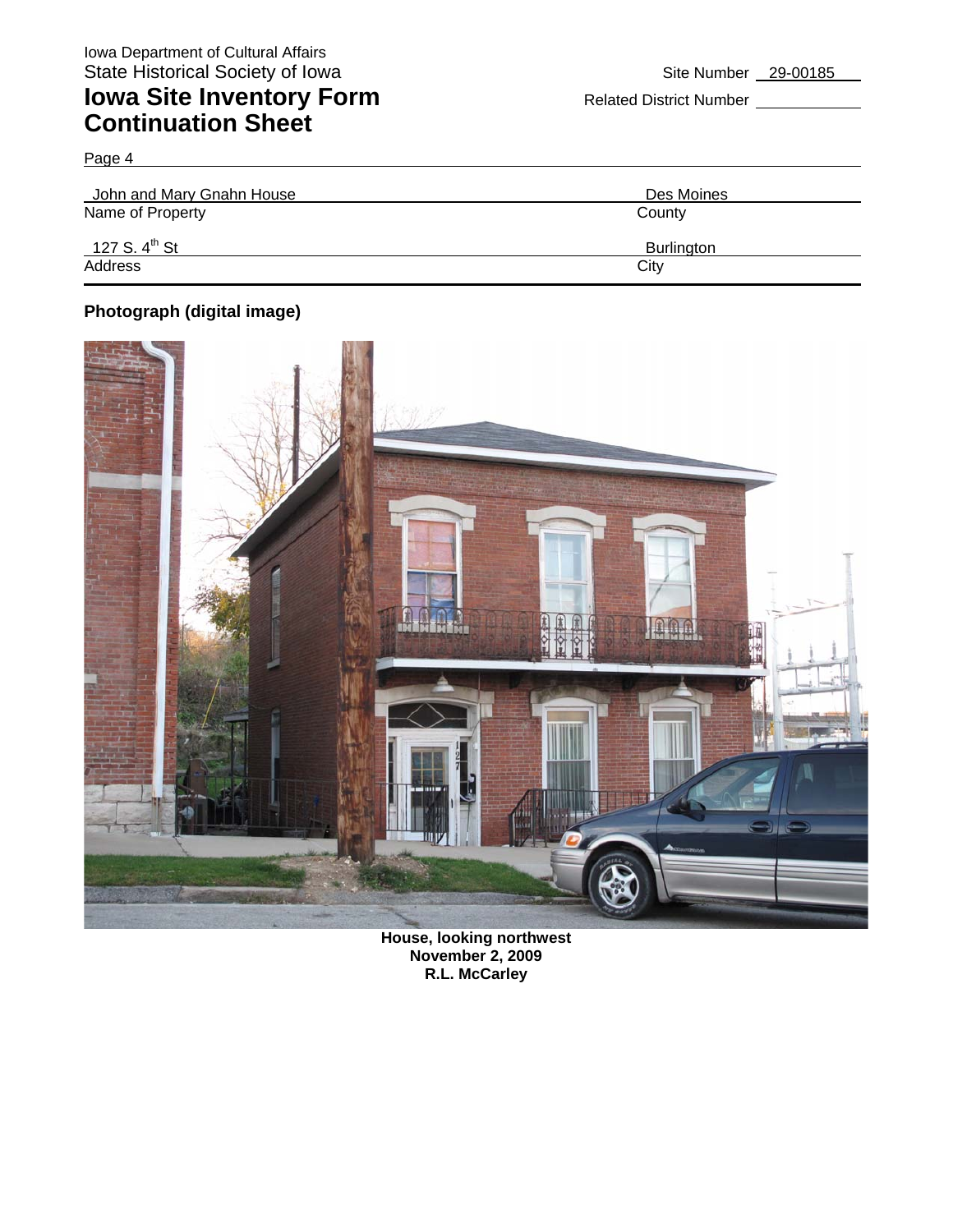Page 4

| John and Mary Gnahn House | Des Moines        |
|---------------------------|-------------------|
| Name of Property          | County            |
| 127 S. 4 <sup>th</sup> St | <b>Burlington</b> |
| Address                   | City              |

### **Photograph (digital image)**



**House, looking northwest November 2, 2009 R.L. McCarley**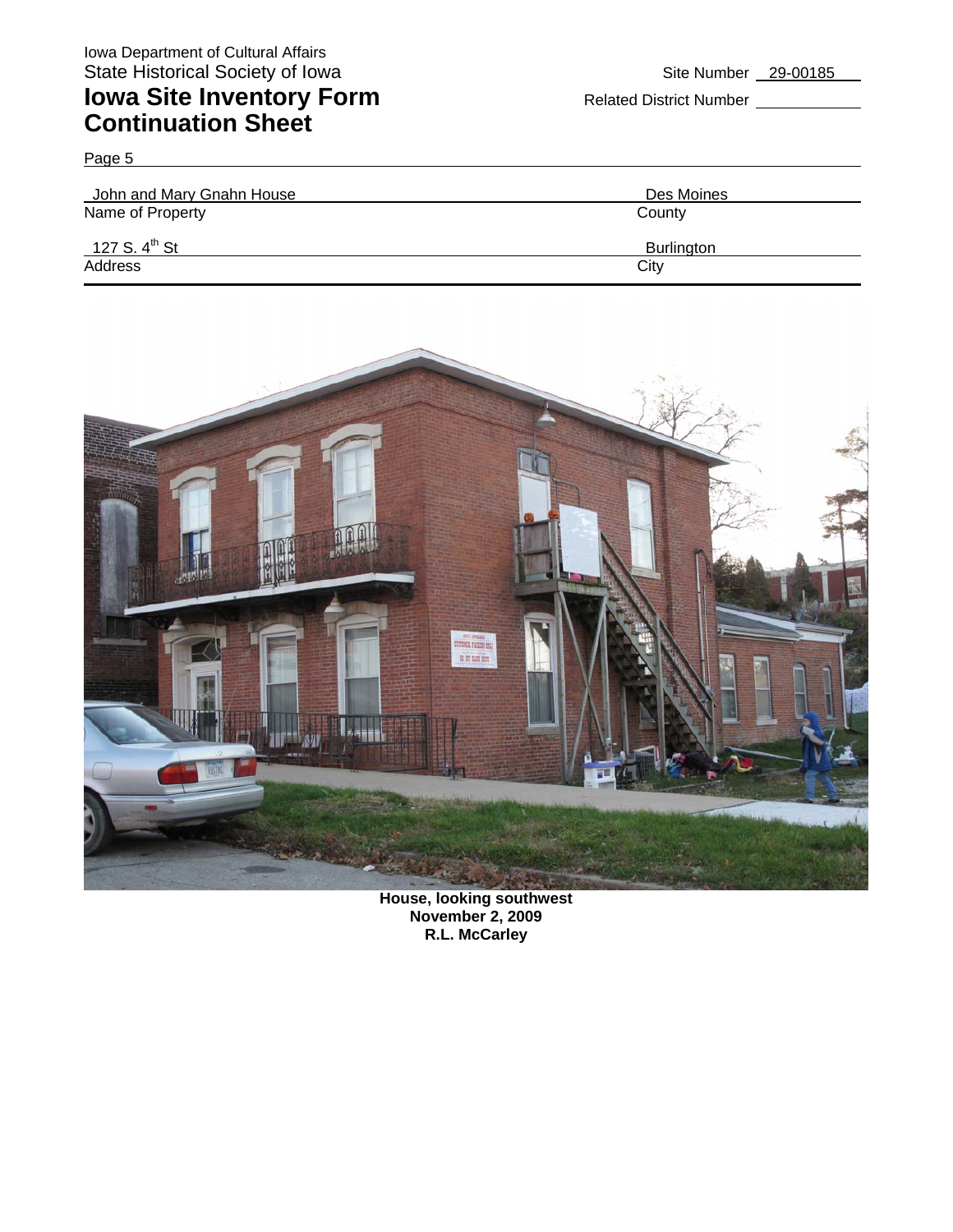Page 5

| John and Mary Gnahn House | Des Moines        |
|---------------------------|-------------------|
| Name of Property          | County            |
| 127 S. 4 <sup>th</sup> St | <b>Burlington</b> |
| Address                   | City              |



**House, looking southwest November 2, 2009 R.L. McCarley**